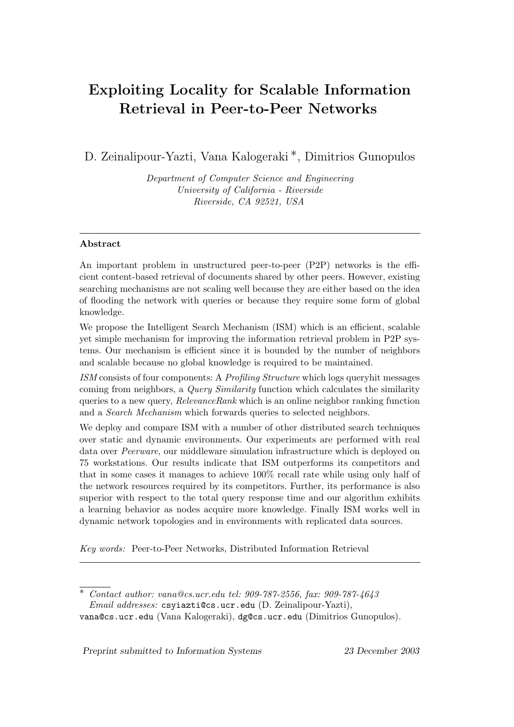# Exploiting Locality for Scalable Information Retrieval in Peer-to-Peer Networks

D. Zeinalipour-Yazti, Vana Kalogeraki ∗, Dimitrios Gunopulos

Department of Computer Science and Engineering University of California - Riverside Riverside, CA 92521, USA

#### Abstract

An important problem in unstructured peer-to-peer (P2P) networks is the efficient content-based retrieval of documents shared by other peers. However, existing searching mechanisms are not scaling well because they are either based on the idea of flooding the network with queries or because they require some form of global knowledge.

We propose the Intelligent Search Mechanism (ISM) which is an efficient, scalable yet simple mechanism for improving the information retrieval problem in P2P systems. Our mechanism is efficient since it is bounded by the number of neighbors and scalable because no global knowledge is required to be maintained.

ISM consists of four components: A Profiling Structure which logs queryhit messages coming from neighbors, a Query Similarity function which calculates the similarity queries to a new query, RelevanceRank which is an online neighbor ranking function and a Search Mechanism which forwards queries to selected neighbors.

We deploy and compare ISM with a number of other distributed search techniques over static and dynamic environments. Our experiments are performed with real data over Peerware, our middleware simulation infrastructure which is deployed on 75 workstations. Our results indicate that ISM outperforms its competitors and that in some cases it manages to achieve 100% recall rate while using only half of the network resources required by its competitors. Further, its performance is also superior with respect to the total query response time and our algorithm exhibits a learning behavior as nodes acquire more knowledge. Finally ISM works well in dynamic network topologies and in environments with replicated data sources.

Key words: Peer-to-Peer Networks, Distributed Information Retrieval

Preprint submitted to Information Systems 23 December 2003

 $\overline{\text{*} \quad \text{Context} \; \text{author}: \; \text{van} \textcircled{c} \text{s} \text{.} \text{ucr} \text{.} \text{edu} \; \text{tel}: \; 909\text{-}787\text{-}2556 \text{.} \; \text{fac}: \; 909\text{-}787\text{-}4643$ Email addresses: csyiazti@cs.ucr.edu (D. Zeinalipour-Yazti),

vana@cs.ucr.edu (Vana Kalogeraki), dg@cs.ucr.edu (Dimitrios Gunopulos).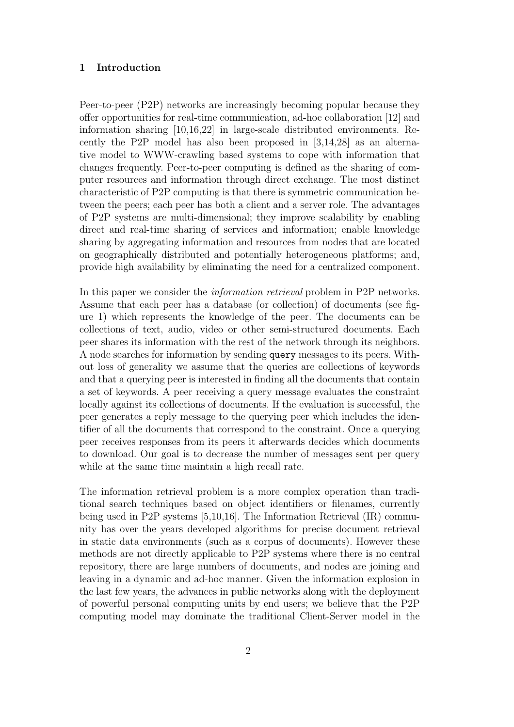## 1 Introduction

Peer-to-peer (P2P) networks are increasingly becoming popular because they offer opportunities for real-time communication, ad-hoc collaboration [12] and information sharing [10,16,22] in large-scale distributed environments. Recently the P2P model has also been proposed in [3,14,28] as an alternative model to WWW-crawling based systems to cope with information that changes frequently. Peer-to-peer computing is defined as the sharing of computer resources and information through direct exchange. The most distinct characteristic of P2P computing is that there is symmetric communication between the peers; each peer has both a client and a server role. The advantages of P2P systems are multi-dimensional; they improve scalability by enabling direct and real-time sharing of services and information; enable knowledge sharing by aggregating information and resources from nodes that are located on geographically distributed and potentially heterogeneous platforms; and, provide high availability by eliminating the need for a centralized component.

In this paper we consider the information retrieval problem in P2P networks. Assume that each peer has a database (or collection) of documents (see figure 1) which represents the knowledge of the peer. The documents can be collections of text, audio, video or other semi-structured documents. Each peer shares its information with the rest of the network through its neighbors. A node searches for information by sending query messages to its peers. Without loss of generality we assume that the queries are collections of keywords and that a querying peer is interested in finding all the documents that contain a set of keywords. A peer receiving a query message evaluates the constraint locally against its collections of documents. If the evaluation is successful, the peer generates a reply message to the querying peer which includes the identifier of all the documents that correspond to the constraint. Once a querying peer receives responses from its peers it afterwards decides which documents to download. Our goal is to decrease the number of messages sent per query while at the same time maintain a high recall rate.

The information retrieval problem is a more complex operation than traditional search techniques based on object identifiers or filenames, currently being used in P2P systems [5,10,16]. The Information Retrieval (IR) community has over the years developed algorithms for precise document retrieval in static data environments (such as a corpus of documents). However these methods are not directly applicable to P2P systems where there is no central repository, there are large numbers of documents, and nodes are joining and leaving in a dynamic and ad-hoc manner. Given the information explosion in the last few years, the advances in public networks along with the deployment of powerful personal computing units by end users; we believe that the P2P computing model may dominate the traditional Client-Server model in the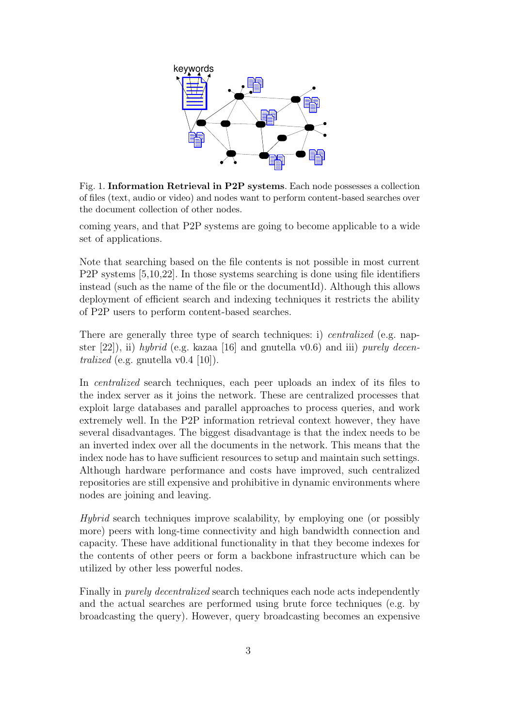

Fig. 1. Information Retrieval in P2P systems. Each node possesses a collection of files (text, audio or video) and nodes want to perform content-based searches over the document collection of other nodes.

coming years, and that P2P systems are going to become applicable to a wide set of applications.

Note that searching based on the file contents is not possible in most current P2P systems [5,10,22]. In those systems searching is done using file identifiers instead (such as the name of the file or the documentId). Although this allows deployment of efficient search and indexing techniques it restricts the ability of P2P users to perform content-based searches.

There are generally three type of search techniques: i) *centralized* (e.g. napster  $[22]$ , ii) hybrid (e.g. kazaa [16] and gnutella v0.6) and iii) purely decentralized (e.g. gnutella v $0.4$  [10]).

In centralized search techniques, each peer uploads an index of its files to the index server as it joins the network. These are centralized processes that exploit large databases and parallel approaches to process queries, and work extremely well. In the P2P information retrieval context however, they have several disadvantages. The biggest disadvantage is that the index needs to be an inverted index over all the documents in the network. This means that the index node has to have sufficient resources to setup and maintain such settings. Although hardware performance and costs have improved, such centralized repositories are still expensive and prohibitive in dynamic environments where nodes are joining and leaving.

Hybrid search techniques improve scalability, by employing one (or possibly more) peers with long-time connectivity and high bandwidth connection and capacity. These have additional functionality in that they become indexes for the contents of other peers or form a backbone infrastructure which can be utilized by other less powerful nodes.

Finally in purely decentralized search techniques each node acts independently and the actual searches are performed using brute force techniques (e.g. by broadcasting the query). However, query broadcasting becomes an expensive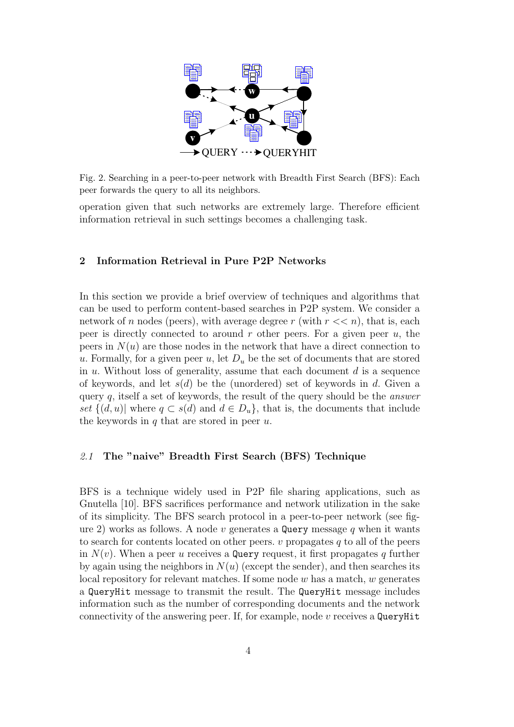

Fig. 2. Searching in a peer-to-peer network with Breadth First Search (BFS): Each peer forwards the query to all its neighbors.

operation given that such networks are extremely large. Therefore efficient information retrieval in such settings becomes a challenging task.

## 2 Information Retrieval in Pure P2P Networks

In this section we provide a brief overview of techniques and algorithms that can be used to perform content-based searches in P2P system. We consider a network of n nodes (peers), with average degree r (with  $r \ll n$ ), that is, each peer is directly connected to around r other peers. For a given peer  $u$ , the peers in  $N(u)$  are those nodes in the network that have a direct connection to u. Formally, for a given peer u, let  $D_u$  be the set of documents that are stored in  $u$ . Without loss of generality, assume that each document  $d$  is a sequence of keywords, and let  $s(d)$  be the (unordered) set of keywords in d. Given a query  $q$ , itself a set of keywords, the result of the query should be the *answer* set  $\{(d, u)|$  where  $q \subset s(d)$  and  $d \in D_u\}$ , that is, the documents that include the keywords in  $q$  that are stored in peer  $u$ .

# 2.1 The "naive" Breadth First Search (BFS) Technique

BFS is a technique widely used in P2P file sharing applications, such as Gnutella [10]. BFS sacrifices performance and network utilization in the sake of its simplicity. The BFS search protocol in a peer-to-peer network (see figure 2) works as follows. A node  $v$  generates a Query message  $q$  when it wants to search for contents located on other peers.  $v$  propagates  $q$  to all of the peers in  $N(v)$ . When a peer u receives a **Query** request, it first propagates q further by again using the neighbors in  $N(u)$  (except the sender), and then searches its local repository for relevant matches. If some node  $w$  has a match,  $w$  generates a QueryHit message to transmit the result. The QueryHit message includes information such as the number of corresponding documents and the network connectivity of the answering peer. If, for example, node  $v$  receives a QueryHit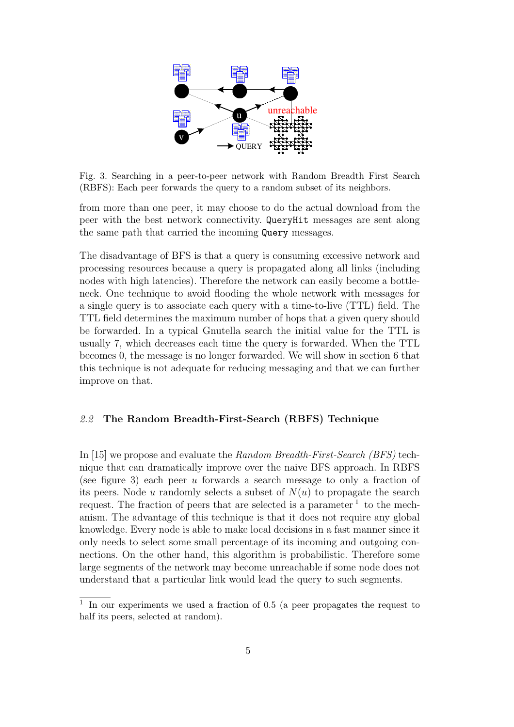

Fig. 3. Searching in a peer-to-peer network with Random Breadth First Search (RBFS): Each peer forwards the query to a random subset of its neighbors.

from more than one peer, it may choose to do the actual download from the peer with the best network connectivity. QueryHit messages are sent along the same path that carried the incoming Query messages.

The disadvantage of BFS is that a query is consuming excessive network and processing resources because a query is propagated along all links (including nodes with high latencies). Therefore the network can easily become a bottleneck. One technique to avoid flooding the whole network with messages for a single query is to associate each query with a time-to-live (TTL) field. The TTL field determines the maximum number of hops that a given query should be forwarded. In a typical Gnutella search the initial value for the TTL is usually 7, which decreases each time the query is forwarded. When the TTL becomes 0, the message is no longer forwarded. We will show in section 6 that this technique is not adequate for reducing messaging and that we can further improve on that.

# 2.2 The Random Breadth-First-Search (RBFS) Technique

In [15] we propose and evaluate the Random Breadth-First-Search (BFS) technique that can dramatically improve over the naive BFS approach. In RBFS (see figure 3) each peer u forwards a search message to only a fraction of its peers. Node u randomly selects a subset of  $N(u)$  to propagate the search request. The fraction of peers that are selected is a parameter  $1$  to the mechanism. The advantage of this technique is that it does not require any global knowledge. Every node is able to make local decisions in a fast manner since it only needs to select some small percentage of its incoming and outgoing connections. On the other hand, this algorithm is probabilistic. Therefore some large segments of the network may become unreachable if some node does not understand that a particular link would lead the query to such segments.

<sup>&</sup>lt;sup>1</sup> In our experiments we used a fraction of 0.5 (a peer propagates the request to half its peers, selected at random).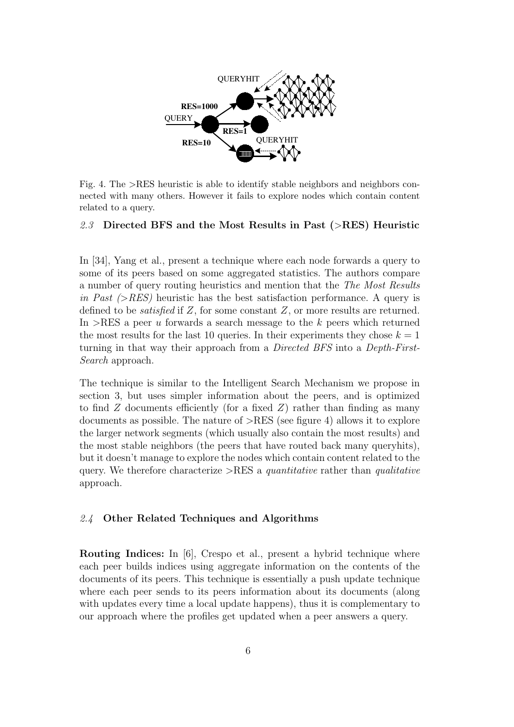

Fig. 4. The >RES heuristic is able to identify stable neighbors and neighbors connected with many others. However it fails to explore nodes which contain content related to a query.

## 2.3 Directed BFS and the Most Results in Past (>RES) Heuristic

In [34], Yang et al., present a technique where each node forwards a query to some of its peers based on some aggregated statistics. The authors compare a number of query routing heuristics and mention that the The Most Results in Past  $(>=$ RES) heuristic has the best satisfaction performance. A query is defined to be *satisfied* if  $Z$ , for some constant  $Z$ , or more results are returned. In  $>$ RES a peer u forwards a search message to the k peers which returned the most results for the last 10 queries. In their experiments they chose  $k = 1$ turning in that way their approach from a Directed BFS into a Depth-First-Search approach.

The technique is similar to the Intelligent Search Mechanism we propose in section 3, but uses simpler information about the peers, and is optimized to find  $Z$  documents efficiently (for a fixed  $Z$ ) rather than finding as many documents as possible. The nature of  $>$ RES (see figure 4) allows it to explore the larger network segments (which usually also contain the most results) and the most stable neighbors (the peers that have routed back many queryhits), but it doesn't manage to explore the nodes which contain content related to the query. We therefore characterize  $>$ RES a quantitative rather than qualitative approach.

#### 2.4 Other Related Techniques and Algorithms

Routing Indices: In [6], Crespo et al., present a hybrid technique where each peer builds indices using aggregate information on the contents of the documents of its peers. This technique is essentially a push update technique where each peer sends to its peers information about its documents (along with updates every time a local update happens), thus it is complementary to our approach where the profiles get updated when a peer answers a query.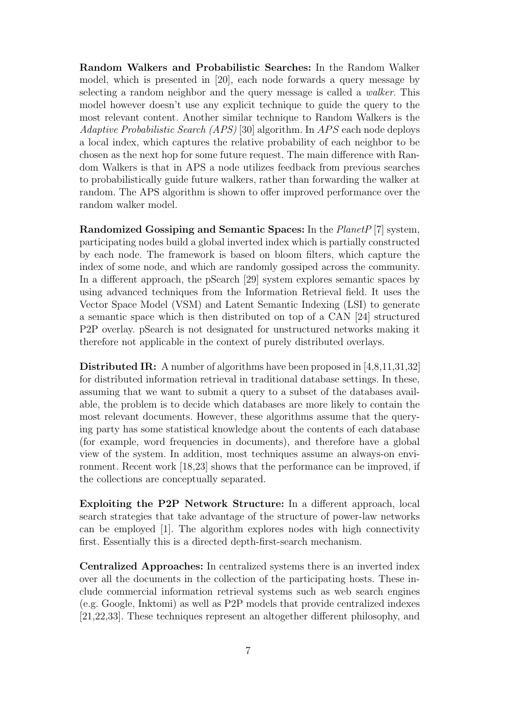Random Walkers and Probabilistic Searches: In the Random Walker model, which is presented in [20], each node forwards a query message by selecting a random neighbor and the query message is called a walker. This model however doesn't use any explicit technique to guide the query to the most relevant content. Another similar technique to Random Walkers is the Adaptive Probabilistic Search (APS) [30] algorithm. In APS each node deploys a local index, which captures the relative probability of each neighbor to be chosen as the next hop for some future request. The main difference with Random Walkers is that in APS a node utilizes feedback from previous searches to probabilistically guide future walkers, rather than forwarding the walker at random. The APS algorithm is shown to offer improved performance over the random walker model.

Randomized Gossiping and Semantic Spaces: In the PlanetP [7] system, participating nodes build a global inverted index which is partially constructed by each node. The framework is based on bloom filters, which capture the index of some node, and which are randomly gossiped across the community. In a different approach, the pSearch [29] system explores semantic spaces by using advanced techniques from the Information Retrieval field. It uses the Vector Space Model (VSM) and Latent Semantic Indexing (LSI) to generate a semantic space which is then distributed on top of a CAN [24] structured P2P overlay. pSearch is not designated for unstructured networks making it therefore not applicable in the context of purely distributed overlays.

Distributed IR: A number of algorithms have been proposed in [4,8,11,31,32] for distributed information retrieval in traditional database settings. In these, assuming that we want to submit a query to a subset of the databases available, the problem is to decide which databases are more likely to contain the most relevant documents. However, these algorithms assume that the querying party has some statistical knowledge about the contents of each database (for example, word frequencies in documents), and therefore have a global view of the system. In addition, most techniques assume an always-on environment. Recent work [18,23] shows that the performance can be improved, if the collections are conceptually separated.

Exploiting the P2P Network Structure: In a different approach, local search strategies that take advantage of the structure of power-law networks can be employed [1]. The algorithm explores nodes with high connectivity first. Essentially this is a directed depth-first-search mechanism.

Centralized Approaches: In centralized systems there is an inverted index over all the documents in the collection of the participating hosts. These include commercial information retrieval systems such as web search engines (e.g. Google, Inktomi) as well as P2P models that provide centralized indexes [21,22,33]. These techniques represent an altogether different philosophy, and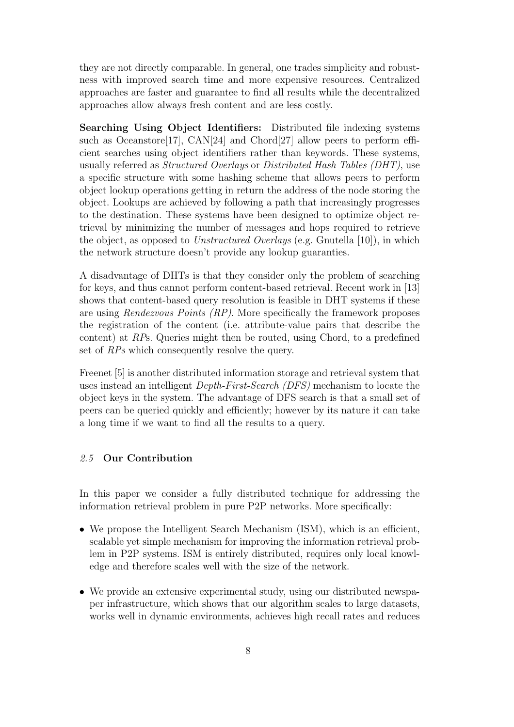they are not directly comparable. In general, one trades simplicity and robustness with improved search time and more expensive resources. Centralized approaches are faster and guarantee to find all results while the decentralized approaches allow always fresh content and are less costly.

Searching Using Object Identifiers: Distributed file indexing systems such as Oceanstore<sup>[17]</sup>, CAN<sup>[24]</sup> and Chord<sup>[27]</sup> allow peers to perform efficient searches using object identifiers rather than keywords. These systems, usually referred as Structured Overlays or Distributed Hash Tables (DHT), use a specific structure with some hashing scheme that allows peers to perform object lookup operations getting in return the address of the node storing the object. Lookups are achieved by following a path that increasingly progresses to the destination. These systems have been designed to optimize object retrieval by minimizing the number of messages and hops required to retrieve the object, as opposed to Unstructured Overlays (e.g. Gnutella [10]), in which the network structure doesn't provide any lookup guaranties.

A disadvantage of DHTs is that they consider only the problem of searching for keys, and thus cannot perform content-based retrieval. Recent work in [13] shows that content-based query resolution is feasible in DHT systems if these are using Rendezvous Points (RP). More specifically the framework proposes the registration of the content (i.e. attribute-value pairs that describe the content) at RPs. Queries might then be routed, using Chord, to a predefined set of RPs which consequently resolve the query.

Freenet [5] is another distributed information storage and retrieval system that uses instead an intelligent Depth-First-Search (DFS) mechanism to locate the object keys in the system. The advantage of DFS search is that a small set of peers can be queried quickly and efficiently; however by its nature it can take a long time if we want to find all the results to a query.

# 2.5 Our Contribution

In this paper we consider a fully distributed technique for addressing the information retrieval problem in pure P2P networks. More specifically:

- We propose the Intelligent Search Mechanism (ISM), which is an efficient, scalable yet simple mechanism for improving the information retrieval problem in P2P systems. ISM is entirely distributed, requires only local knowledge and therefore scales well with the size of the network.
- We provide an extensive experimental study, using our distributed newspaper infrastructure, which shows that our algorithm scales to large datasets, works well in dynamic environments, achieves high recall rates and reduces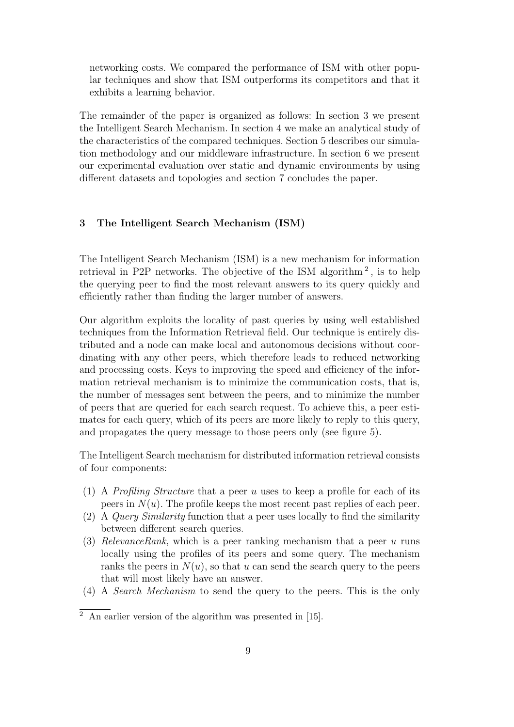networking costs. We compared the performance of ISM with other popular techniques and show that ISM outperforms its competitors and that it exhibits a learning behavior.

The remainder of the paper is organized as follows: In section 3 we present the Intelligent Search Mechanism. In section 4 we make an analytical study of the characteristics of the compared techniques. Section 5 describes our simulation methodology and our middleware infrastructure. In section 6 we present our experimental evaluation over static and dynamic environments by using different datasets and topologies and section 7 concludes the paper.

# 3 The Intelligent Search Mechanism (ISM)

The Intelligent Search Mechanism (ISM) is a new mechanism for information retrieval in P2P networks. The objective of the ISM algorithm <sup>2</sup> , is to help the querying peer to find the most relevant answers to its query quickly and efficiently rather than finding the larger number of answers.

Our algorithm exploits the locality of past queries by using well established techniques from the Information Retrieval field. Our technique is entirely distributed and a node can make local and autonomous decisions without coordinating with any other peers, which therefore leads to reduced networking and processing costs. Keys to improving the speed and efficiency of the information retrieval mechanism is to minimize the communication costs, that is, the number of messages sent between the peers, and to minimize the number of peers that are queried for each search request. To achieve this, a peer estimates for each query, which of its peers are more likely to reply to this query, and propagates the query message to those peers only (see figure 5).

The Intelligent Search mechanism for distributed information retrieval consists of four components:

- (1) A *Profiling Structure* that a peer u uses to keep a profile for each of its peers in  $N(u)$ . The profile keeps the most recent past replies of each peer.
- (2) A Query Similarity function that a peer uses locally to find the similarity between different search queries.
- (3) RelevanceRank, which is a peer ranking mechanism that a peer u runs locally using the profiles of its peers and some query. The mechanism ranks the peers in  $N(u)$ , so that u can send the search query to the peers that will most likely have an answer.
- (4) A Search Mechanism to send the query to the peers. This is the only

<sup>2</sup> An earlier version of the algorithm was presented in [15].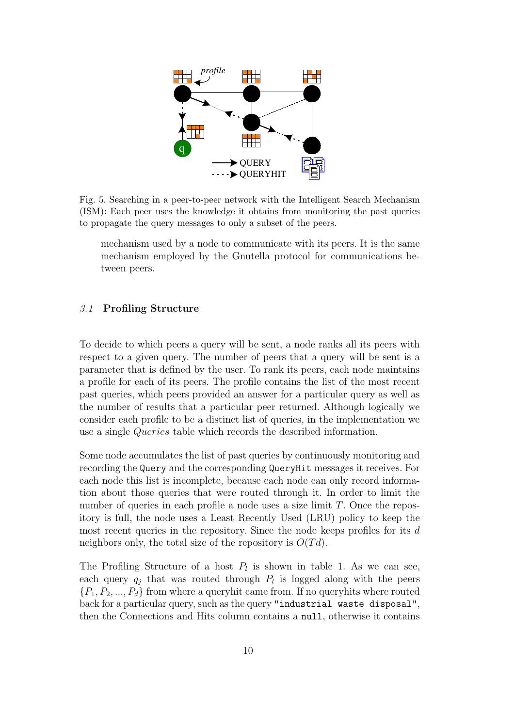

Fig. 5. Searching in a peer-to-peer network with the Intelligent Search Mechanism (ISM): Each peer uses the knowledge it obtains from monitoring the past queries to propagate the query messages to only a subset of the peers.

mechanism used by a node to communicate with its peers. It is the same mechanism employed by the Gnutella protocol for communications between peers.

# 3.1 Profiling Structure

To decide to which peers a query will be sent, a node ranks all its peers with respect to a given query. The number of peers that a query will be sent is a parameter that is defined by the user. To rank its peers, each node maintains a profile for each of its peers. The profile contains the list of the most recent past queries, which peers provided an answer for a particular query as well as the number of results that a particular peer returned. Although logically we consider each profile to be a distinct list of queries, in the implementation we use a single Queries table which records the described information.

Some node accumulates the list of past queries by continuously monitoring and recording the Query and the corresponding QueryHit messages it receives. For each node this list is incomplete, because each node can only record information about those queries that were routed through it. In order to limit the number of queries in each profile a node uses a size limit  $T$ . Once the repository is full, the node uses a Least Recently Used (LRU) policy to keep the most recent queries in the repository. Since the node keeps profiles for its d neighbors only, the total size of the repository is  $O(Td)$ .

The Profiling Structure of a host  $P_l$  is shown in table 1. As we can see, each query  $q_j$  that was routed through  $P_l$  is logged along with the peers  $\{P_1, P_2, ..., P_d\}$  from where a queryhit came from. If no queryhits where routed back for a particular query, such as the query "industrial waste disposal", then the Connections and Hits column contains a null, otherwise it contains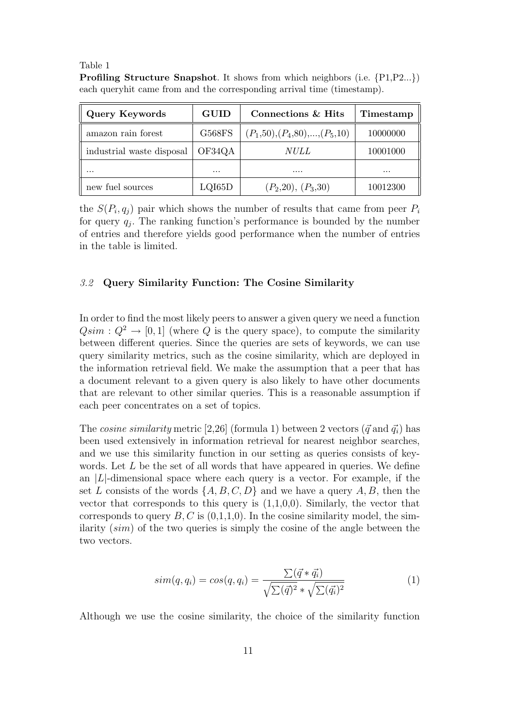Table 1

| <b>Profiling Structure Snapshot.</b> It shows from which neighbors (i.e. $\{P1, P2\}$ ) |  |  |
|-----------------------------------------------------------------------------------------|--|--|
| each queryhit came from and the corresponding arrival time (timestamp).                 |  |  |

| Query Keywords            | <b>GUID</b>   | Connections & Hits                  | Timestamp |  |
|---------------------------|---------------|-------------------------------------|-----------|--|
| amazon rain forest        | <b>G568FS</b> | $(P_1, 50), (P_4, 80), , (P_5, 10)$ | 10000000  |  |
| industrial waste disposal | OF34QA        | <i>NULL</i>                         | 10001000  |  |
| $\cdots$                  | $\cdots$      | .                                   | $\cdots$  |  |
| new fuel sources          | LQI65D        | $(P_2,20), (P_3,30)$                | 10012300  |  |

the  $S(P_i, q_j)$  pair which shows the number of results that came from peer  $P_i$ for query  $q_j$ . The ranking function's performance is bounded by the number of entries and therefore yields good performance when the number of entries in the table is limited.

## 3.2 Query Similarity Function: The Cosine Similarity

In order to find the most likely peers to answer a given query we need a function  $Qsim$ :  $Q^2 \rightarrow [0, 1]$  (where Q is the query space), to compute the similarity between different queries. Since the queries are sets of keywords, we can use query similarity metrics, such as the cosine similarity, which are deployed in the information retrieval field. We make the assumption that a peer that has a document relevant to a given query is also likely to have other documents that are relevant to other similar queries. This is a reasonable assumption if each peer concentrates on a set of topics.

The *cosine similarity* metric [2,26] (formula 1) between 2 vectors ( $\vec{q}$  and  $\vec{q}_i$ ) has been used extensively in information retrieval for nearest neighbor searches, and we use this similarity function in our setting as queries consists of keywords. Let  $L$  be the set of all words that have appeared in queries. We define an  $|L|$ -dimensional space where each query is a vector. For example, if the set L consists of the words  $\{A, B, C, D\}$  and we have a query  $A, B$ , then the vector that corresponds to this query is  $(1,1,0,0)$ . Similarly, the vector that corresponds to query  $B, C$  is  $(0,1,1,0)$ . In the cosine similarity model, the similarity  $(sim)$  of the two queries is simply the cosine of the angle between the two vectors.

$$
sim(q, q_i) = cos(q, q_i) = \frac{\sum(\vec{q} * \vec{q_i})}{\sqrt{\sum(\vec{q})^2} * \sqrt{\sum(\vec{q_i})^2}}
$$
(1)

Although we use the cosine similarity, the choice of the similarity function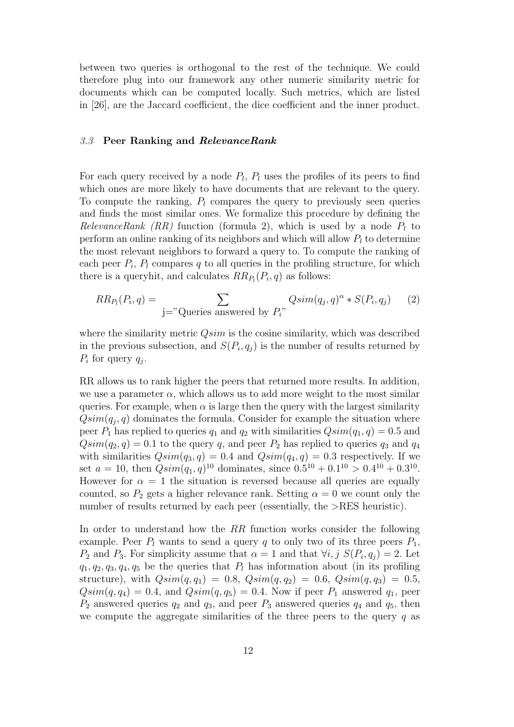between two queries is orthogonal to the rest of the technique. We could therefore plug into our framework any other numeric similarity metric for documents which can be computed locally. Such metrics, which are listed in [26], are the Jaccard coefficient, the dice coefficient and the inner product.

# 3.3 Peer Ranking and RelevanceRank

For each query received by a node  $P_l$ ,  $P_l$  uses the profiles of its peers to find which ones are more likely to have documents that are relevant to the query. To compute the ranking,  $P_l$  compares the query to previously seen queries and finds the most similar ones. We formalize this procedure by defining the *RelevanceRank (RR)* function (formula 2), which is used by a node  $P<sub>l</sub>$  to perform an online ranking of its neighbors and which will allow  $P_l$  to determine the most relevant neighbors to forward a query to. To compute the ranking of each peer  $P_i$ ,  $P_i$  compares q to all queries in the profiling structure, for which there is a queryhit, and calculates  $RR_{P_l}(P_i, q)$  as follows:

$$
RR_{P_l}(P_i, q) = \sum_{j = "Queries answered by P_i"} Qsim(q_j, q)^{\alpha} * S(P_i, q_j)
$$
 (2)

where the similarity metric  $Qsim$  is the cosine similarity, which was described in the previous subsection, and  $S(P_i, q_j)$  is the number of results returned by  $P_i$  for query  $q_j$ .

RR allows us to rank higher the peers that returned more results. In addition, we use a parameter  $\alpha$ , which allows us to add more weight to the most similar queries. For example, when  $\alpha$  is large then the query with the largest similarity  $Qsim(q_j, q)$  dominates the formula. Consider for example the situation where peer  $P_1$  has replied to queries  $q_1$  and  $q_2$  with similarities  $Qsim(q_1, q) = 0.5$  and  $Qsim(q_2, q) = 0.1$  to the query q, and peer  $P_2$  has replied to queries  $q_3$  and  $q_4$ with similarities  $Qsim(q_3, q) = 0.4$  and  $Qsim(q_4, q) = 0.3$  respectively. If we set  $a = 10$ , then  $Qsim(q_1, q)^{10}$  dominates, since  $0.5^{10} + 0.1^{10} > 0.4^{10} + 0.3^{10}$ . However for  $\alpha = 1$  the situation is reversed because all queries are equally counted, so  $P_2$  gets a higher relevance rank. Setting  $\alpha = 0$  we count only the number of results returned by each peer (essentially, the  $>$ RES heuristic).

In order to understand how the RR function works consider the following example. Peer  $P_l$  wants to send a query q to only two of its three peers  $P_1$ ,  $P_2$  and  $P_3$ . For simplicity assume that  $\alpha = 1$  and that  $\forall i, j \ S(P_i, q_j) = 2$ . Let  $q_1, q_2, q_3, q_4, q_5$  be the queries that  $P_l$  has information about (in its profiling structure), with  $Qsim(q, q_1) = 0.8$ ,  $Qsim(q, q_2) = 0.6$ ,  $Qsim(q, q_3) = 0.5$ ,  $Qsim(q, q_4) = 0.4$ , and  $Qsim(q, q_5) = 0.4$ . Now if peer  $P_1$  answered  $q_1$ , peer  $P_2$  answered queries  $q_2$  and  $q_3$ , and peer  $P_3$  answered queries  $q_4$  and  $q_5$ , then we compute the aggregate similarities of the three peers to the query  $q$  as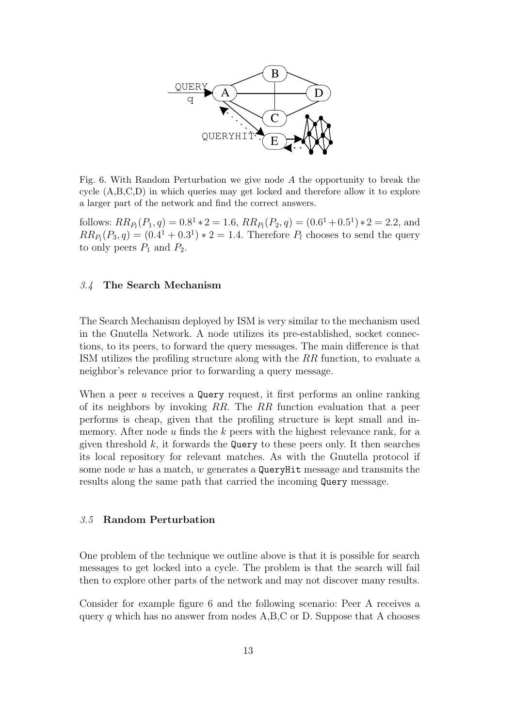

Fig. 6. With Random Perturbation we give node A the opportunity to break the cycle (A,B,C,D) in which queries may get locked and therefore allow it to explore a larger part of the network and find the correct answers.

follows:  $RR_{P_l}(P_1, q) = 0.8^1 * 2 = 1.6$ ,  $RR_{P_l}(P_2, q) = (0.6^1 + 0.5^1) * 2 = 2.2$ , and  $RR_{P_l}(P_3, q) = (0.4^1 + 0.3^1) * 2 = 1.4$ . Therefore  $P_l$  chooses to send the query to only peers  $P_1$  and  $P_2$ .

#### 3.4 The Search Mechanism

The Search Mechanism deployed by ISM is very similar to the mechanism used in the Gnutella Network. A node utilizes its pre-established, socket connections, to its peers, to forward the query messages. The main difference is that ISM utilizes the profiling structure along with the RR function, to evaluate a neighbor's relevance prior to forwarding a query message.

When a peer  $u$  receives a Query request, it first performs an online ranking of its neighbors by invoking RR. The RR function evaluation that a peer performs is cheap, given that the profiling structure is kept small and inmemory. After node  $u$  finds the  $k$  peers with the highest relevance rank, for a given threshold  $k$ , it forwards the Query to these peers only. It then searches its local repository for relevant matches. As with the Gnutella protocol if some node w has a match, w generates a QueryHit message and transmits the results along the same path that carried the incoming Query message.

# 3.5 Random Perturbation

One problem of the technique we outline above is that it is possible for search messages to get locked into a cycle. The problem is that the search will fail then to explore other parts of the network and may not discover many results.

Consider for example figure 6 and the following scenario: Peer A receives a query q which has no answer from nodes  $A, B, C$  or D. Suppose that A chooses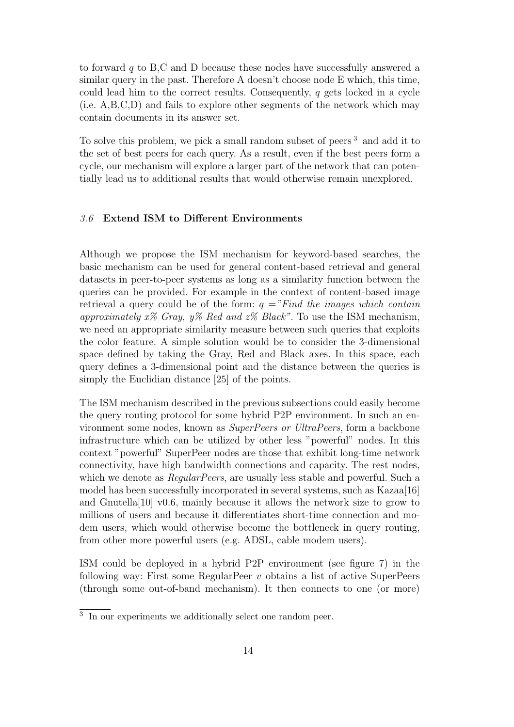to forward q to B,C and D because these nodes have successfully answered a similar query in the past. Therefore A doesn't choose node E which, this time, could lead him to the correct results. Consequently, q gets locked in a cycle (i.e. A,B,C,D) and fails to explore other segments of the network which may contain documents in its answer set.

To solve this problem, we pick a small random subset of peers <sup>3</sup> and add it to the set of best peers for each query. As a result, even if the best peers form a cycle, our mechanism will explore a larger part of the network that can potentially lead us to additional results that would otherwise remain unexplored.

## 3.6 Extend ISM to Different Environments

Although we propose the ISM mechanism for keyword-based searches, the basic mechanism can be used for general content-based retrieval and general datasets in peer-to-peer systems as long as a similarity function between the queries can be provided. For example in the context of content-based image retrieval a query could be of the form:  $q = "Find the images which contain$ approximately  $x\%$  Gray,  $y\%$  Red and  $z\%$  Black". To use the ISM mechanism, we need an appropriate similarity measure between such queries that exploits the color feature. A simple solution would be to consider the 3-dimensional space defined by taking the Gray, Red and Black axes. In this space, each query defines a 3-dimensional point and the distance between the queries is simply the Euclidian distance [25] of the points.

The ISM mechanism described in the previous subsections could easily become the query routing protocol for some hybrid P2P environment. In such an environment some nodes, known as SuperPeers or UltraPeers, form a backbone infrastructure which can be utilized by other less "powerful" nodes. In this context "powerful" SuperPeer nodes are those that exhibit long-time network connectivity, have high bandwidth connections and capacity. The rest nodes, which we denote as *RegularPeers*, are usually less stable and powerful. Such a model has been successfully incorporated in several systems, such as  $Kazaa[16]$ and Gnutella[10] v0.6, mainly because it allows the network size to grow to millions of users and because it differentiates short-time connection and modem users, which would otherwise become the bottleneck in query routing, from other more powerful users (e.g. ADSL, cable modem users).

ISM could be deployed in a hybrid P2P environment (see figure 7) in the following way: First some RegularPeer  $v$  obtains a list of active SuperPeers (through some out-of-band mechanism). It then connects to one (or more)

<sup>&</sup>lt;sup>3</sup> In our experiments we additionally select one random peer.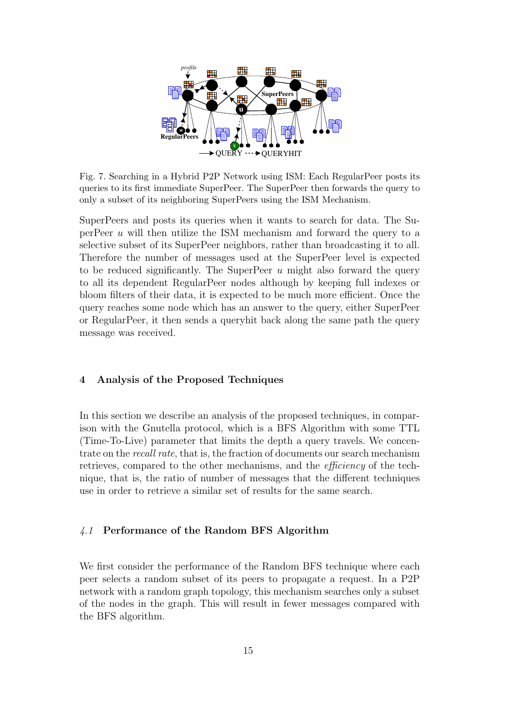

Fig. 7. Searching in a Hybrid P2P Network using ISM: Each RegularPeer posts its queries to its first immediate SuperPeer. The SuperPeer then forwards the query to only a subset of its neighboring SuperPeers using the ISM Mechanism.

SuperPeers and posts its queries when it wants to search for data. The SuperPeer u will then utilize the ISM mechanism and forward the query to a selective subset of its SuperPeer neighbors, rather than broadcasting it to all. Therefore the number of messages used at the SuperPeer level is expected to be reduced significantly. The SuperPeer  $u$  might also forward the query to all its dependent RegularPeer nodes although by keeping full indexes or bloom filters of their data, it is expected to be much more efficient. Once the query reaches some node which has an answer to the query, either SuperPeer or RegularPeer, it then sends a queryhit back along the same path the query message was received.

# 4 Analysis of the Proposed Techniques

In this section we describe an analysis of the proposed techniques, in comparison with the Gnutella protocol, which is a BFS Algorithm with some TTL (Time-To-Live) parameter that limits the depth a query travels. We concentrate on the recall rate, that is, the fraction of documents our search mechanism retrieves, compared to the other mechanisms, and the efficiency of the technique, that is, the ratio of number of messages that the different techniques use in order to retrieve a similar set of results for the same search.

#### 4.1 Performance of the Random BFS Algorithm

We first consider the performance of the Random BFS technique where each peer selects a random subset of its peers to propagate a request. In a P2P network with a random graph topology, this mechanism searches only a subset of the nodes in the graph. This will result in fewer messages compared with the BFS algorithm.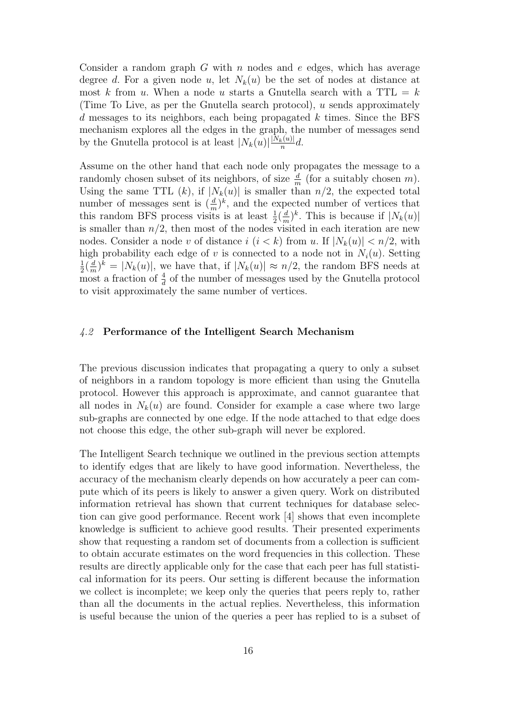Consider a random graph  $G$  with  $n$  nodes and  $e$  edges, which has average degree d. For a given node u, let  $N_k(u)$  be the set of nodes at distance at most k from u. When a node u starts a Gnutella search with a TTL  $= k$ (Time To Live, as per the Gnutella search protocol), u sends approximately  $d$  messages to its neighbors, each being propagated  $k$  times. Since the BFS mechanism explores all the edges in the graph, the number of messages send by the Gnutella protocol is at least  $|N_k(u)| \frac{|N_k(u)|}{n} d$ .

Assume on the other hand that each node only propagates the message to a randomly chosen subset of its neighbors, of size  $\frac{d}{m}$  (for a suitably chosen m). Using the same TTL  $(k)$ , if  $|N_k(u)|$  is smaller than  $n/2$ , the expected total number of messages sent is  $\left(\frac{d}{dt}\right)$  $(\frac{d}{m})^k$ , and the expected number of vertices that this random BFS process visits is at least  $\frac{1}{2}(\frac{d}{m})$  $\frac{d}{m}$ <sup>k</sup>. This is because if  $|N_k(u)|$ is smaller than  $n/2$ , then most of the nodes visited in each iteration are new nodes. Consider a node v of distance  $i$   $(i < k)$  from u. If  $|N_k(u)| < n/2$ , with high probability each edge of v is connected to a node not in  $N_i(u)$ . Setting 1  $rac{1}{2}(\frac{d}{m})$  $(\frac{d}{m})^k = |N_k(u)|$ , we have that, if  $|N_k(u)| \approx n/2$ , the random BFS needs at most a fraction of  $\frac{4}{d}$  of the number of messages used by the Gnutella protocol to visit approximately the same number of vertices.

### 4.2 Performance of the Intelligent Search Mechanism

The previous discussion indicates that propagating a query to only a subset of neighbors in a random topology is more efficient than using the Gnutella protocol. However this approach is approximate, and cannot guarantee that all nodes in  $N_k(u)$  are found. Consider for example a case where two large sub-graphs are connected by one edge. If the node attached to that edge does not choose this edge, the other sub-graph will never be explored.

The Intelligent Search technique we outlined in the previous section attempts to identify edges that are likely to have good information. Nevertheless, the accuracy of the mechanism clearly depends on how accurately a peer can compute which of its peers is likely to answer a given query. Work on distributed information retrieval has shown that current techniques for database selection can give good performance. Recent work [4] shows that even incomplete knowledge is sufficient to achieve good results. Their presented experiments show that requesting a random set of documents from a collection is sufficient to obtain accurate estimates on the word frequencies in this collection. These results are directly applicable only for the case that each peer has full statistical information for its peers. Our setting is different because the information we collect is incomplete; we keep only the queries that peers reply to, rather than all the documents in the actual replies. Nevertheless, this information is useful because the union of the queries a peer has replied to is a subset of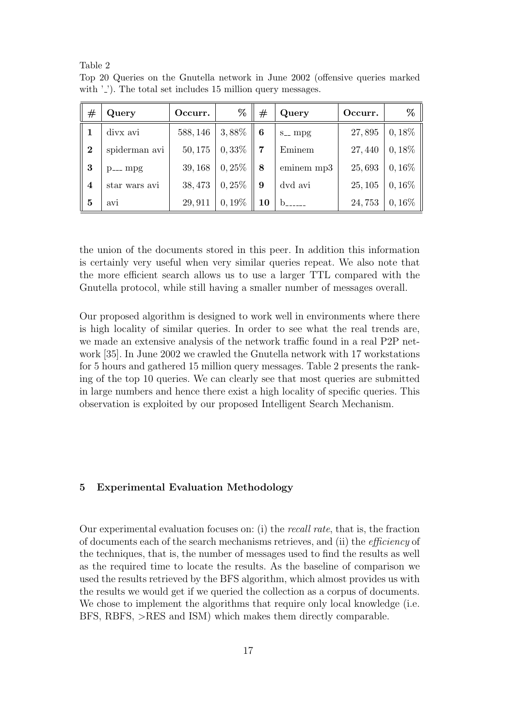Table 2 Top 20 Queries on the Gnutella network in June 2002 (offensive queries marked with '.'). The total set includes 15 million query messages.

| #                       | Query            | Occurr. | %        | #  | Query      | Occurr. | %        |
|-------------------------|------------------|---------|----------|----|------------|---------|----------|
|                         | divx avi         | 588,146 | $3,88\%$ | 6  | $s$ mpg    | 27,895  | $0,18\%$ |
| $\bf{2}$                | spiderman avi    | 50,175  | 0,33%    |    | Eminem     | 27,440  | $0,18\%$ |
| 3                       | $p_{\text{max}}$ | 39, 168 | $0,25\%$ | 8  | eminem mp3 | 25,693  | $0,16\%$ |
| $\overline{\mathbf{4}}$ | star wars avi    | 38,473  | $0,25\%$ | 9  | dvd avi    | 25, 105 | $0,16\%$ |
| 5                       | avi              | 29,911  | $0,19\%$ | 10 |            | 24,753  | $0,16\%$ |

the union of the documents stored in this peer. In addition this information is certainly very useful when very similar queries repeat. We also note that the more efficient search allows us to use a larger TTL compared with the Gnutella protocol, while still having a smaller number of messages overall.

Our proposed algorithm is designed to work well in environments where there is high locality of similar queries. In order to see what the real trends are, we made an extensive analysis of the network traffic found in a real P2P network [35]. In June 2002 we crawled the Gnutella network with 17 workstations for 5 hours and gathered 15 million query messages. Table 2 presents the ranking of the top 10 queries. We can clearly see that most queries are submitted in large numbers and hence there exist a high locality of specific queries. This observation is exploited by our proposed Intelligent Search Mechanism.

## 5 Experimental Evaluation Methodology

Our experimental evaluation focuses on: (i) the recall rate, that is, the fraction of documents each of the search mechanisms retrieves, and (ii) the efficiency of the techniques, that is, the number of messages used to find the results as well as the required time to locate the results. As the baseline of comparison we used the results retrieved by the BFS algorithm, which almost provides us with the results we would get if we queried the collection as a corpus of documents. We chose to implement the algorithms that require only local knowledge (i.e. BFS, RBFS, >RES and ISM) which makes them directly comparable.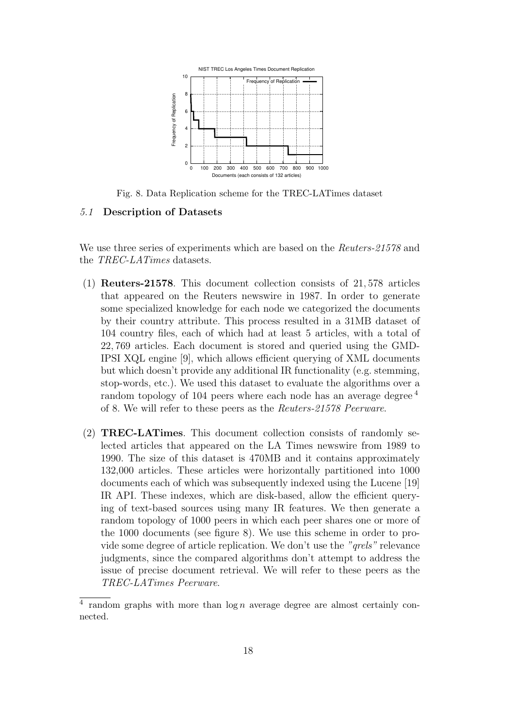

Fig. 8. Data Replication scheme for the TREC-LATimes dataset

## 5.1 Description of Datasets

We use three series of experiments which are based on the Reuters-21578 and the TREC-LATimes datasets.

- (1) Reuters-21578. This document collection consists of 21, 578 articles that appeared on the Reuters newswire in 1987. In order to generate some specialized knowledge for each node we categorized the documents by their country attribute. This process resulted in a 31MB dataset of 104 country files, each of which had at least 5 articles, with a total of 22, 769 articles. Each document is stored and queried using the GMD-IPSI XQL engine [9], which allows efficient querying of XML documents but which doesn't provide any additional IR functionality (e.g. stemming, stop-words, etc.). We used this dataset to evaluate the algorithms over a random topology of 104 peers where each node has an average degree  $4$ of 8. We will refer to these peers as the Reuters-21578 Peerware.
- (2) TREC-LATimes. This document collection consists of randomly selected articles that appeared on the LA Times newswire from 1989 to 1990. The size of this dataset is 470MB and it contains approximately 132,000 articles. These articles were horizontally partitioned into 1000 documents each of which was subsequently indexed using the Lucene [19] IR API. These indexes, which are disk-based, allow the efficient querying of text-based sources using many IR features. We then generate a random topology of 1000 peers in which each peer shares one or more of the 1000 documents (see figure 8). We use this scheme in order to provide some degree of article replication. We don't use the "qrels" relevance judgments, since the compared algorithms don't attempt to address the issue of precise document retrieval. We will refer to these peers as the TREC-LATimes Peerware.

<sup>4</sup> random graphs with more than  $\log n$  average degree are almost certainly connected.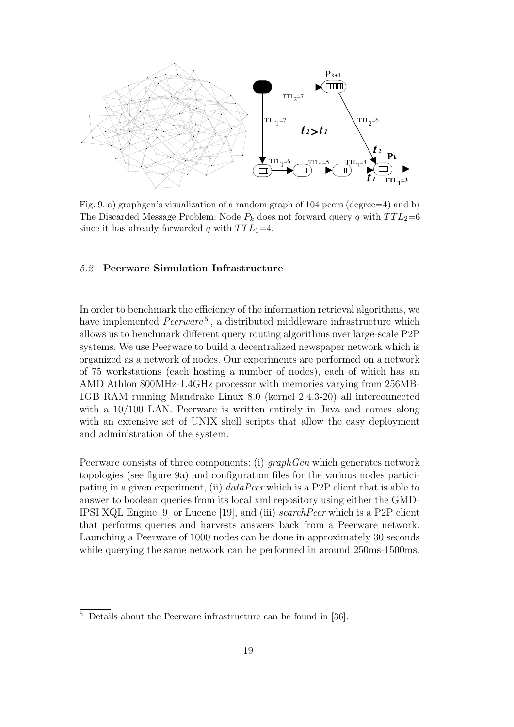

Fig. 9. a) graphgen's visualization of a random graph of 104 peers (degree=4) and b) The Discarded Message Problem: Node  $P_k$  does not forward query q with  $TTL_2=6$ since it has already forwarded q with  $TTL_1=4$ .

## 5.2 Peerware Simulation Infrastructure

In order to benchmark the efficiency of the information retrieval algorithms, we have implemented  $Perware^5$ , a distributed middleware infrastructure which allows us to benchmark different query routing algorithms over large-scale P2P systems. We use Peerware to build a decentralized newspaper network which is organized as a network of nodes. Our experiments are performed on a network of 75 workstations (each hosting a number of nodes), each of which has an AMD Athlon 800MHz-1.4GHz processor with memories varying from 256MB-1GB RAM running Mandrake Linux 8.0 (kernel 2.4.3-20) all interconnected with a  $10/100$  LAN. Peerware is written entirely in Java and comes along with an extensive set of UNIX shell scripts that allow the easy deployment and administration of the system.

Peerware consists of three components: (i) *graphGen* which generates network topologies (see figure 9a) and configuration files for the various nodes participating in a given experiment, (ii)  $dataPeer$  which is a P2P client that is able to answer to boolean queries from its local xml repository using either the GMD-IPSI XQL Engine [9] or Lucene [19], and (iii) searchPeer which is a P2P client that performs queries and harvests answers back from a Peerware network. Launching a Peerware of 1000 nodes can be done in approximately 30 seconds while querying the same network can be performed in around 250ms-1500ms.

<sup>5</sup> Details about the Peerware infrastructure can be found in [36].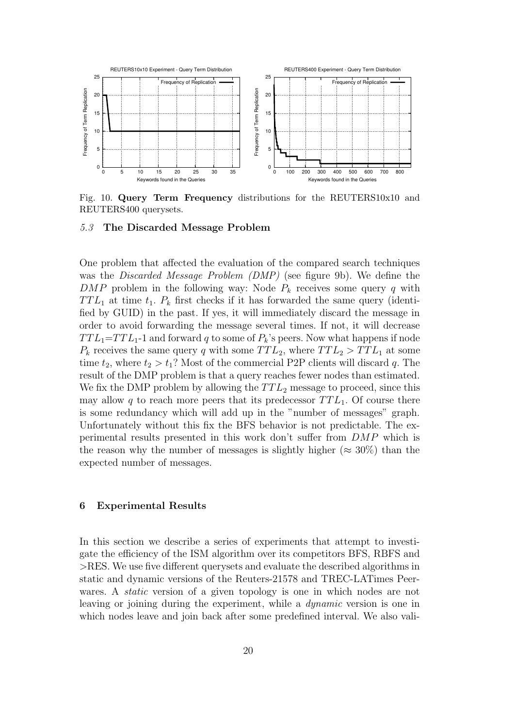

Fig. 10. Query Term Frequency distributions for the REUTERS10x10 and REUTERS400 querysets.

#### 5.3 The Discarded Message Problem

One problem that affected the evaluation of the compared search techniques was the Discarded Message Problem (DMP) (see figure 9b). We define the DMP problem in the following way: Node  $P_k$  receives some query q with  $TTL_1$  at time  $t_1$ .  $P_k$  first checks if it has forwarded the same query (identified by GUID) in the past. If yes, it will immediately discard the message in order to avoid forwarding the message several times. If not, it will decrease  $TTL_1=TTL_1-1$  and forward q to some of  $P_k$ 's peers. Now what happens if node  $P_k$  receives the same query q with some  $TTL_2$ , where  $TTL_2 > TTL_1$  at some time  $t_2$ , where  $t_2 > t_1$ ? Most of the commercial P2P clients will discard q. The result of the DMP problem is that a query reaches fewer nodes than estimated. We fix the DMP problem by allowing the  $TTL_2$  message to proceed, since this may allow q to reach more peers that its predecessor  $TTL_1$ . Of course there is some redundancy which will add up in the "number of messages" graph. Unfortunately without this fix the BFS behavior is not predictable. The experimental results presented in this work don't suffer from DMP which is the reason why the number of messages is slightly higher ( $\approx 30\%$ ) than the expected number of messages.

## 6 Experimental Results

In this section we describe a series of experiments that attempt to investigate the efficiency of the ISM algorithm over its competitors BFS, RBFS and >RES. We use five different querysets and evaluate the described algorithms in static and dynamic versions of the Reuters-21578 and TREC-LATimes Peerwares. A *static* version of a given topology is one in which nodes are not leaving or joining during the experiment, while a dynamic version is one in which nodes leave and join back after some predefined interval. We also vali-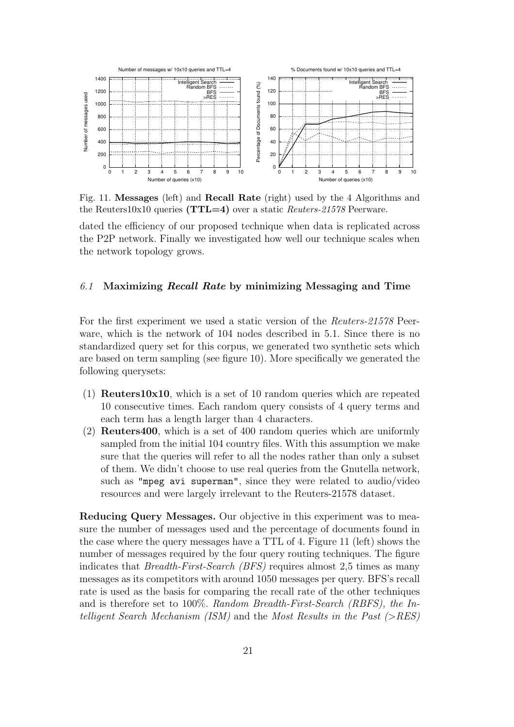

Fig. 11. Messages (left) and Recall Rate (right) used by the 4 Algorithms and the Reuters10x10 queries (TTL=4) over a static Reuters-21578 Peerware.

dated the efficiency of our proposed technique when data is replicated across the P2P network. Finally we investigated how well our technique scales when the network topology grows.

# 6.1 Maximizing Recall Rate by minimizing Messaging and Time

For the first experiment we used a static version of the Reuters-21578 Peerware, which is the network of 104 nodes described in 5.1. Since there is no standardized query set for this corpus, we generated two synthetic sets which are based on term sampling (see figure 10). More specifically we generated the following querysets:

- (1) Reuters10x10, which is a set of 10 random queries which are repeated 10 consecutive times. Each random query consists of 4 query terms and each term has a length larger than 4 characters.
- (2) Reuters400, which is a set of 400 random queries which are uniformly sampled from the initial 104 country files. With this assumption we make sure that the queries will refer to all the nodes rather than only a subset of them. We didn't choose to use real queries from the Gnutella network, such as "mpeg avi superman", since they were related to audio/video resources and were largely irrelevant to the Reuters-21578 dataset.

Reducing Query Messages. Our objective in this experiment was to measure the number of messages used and the percentage of documents found in the case where the query messages have a TTL of 4. Figure 11 (left) shows the number of messages required by the four query routing techniques. The figure indicates that *Breadth-First-Search (BFS)* requires almost 2,5 times as many messages as its competitors with around 1050 messages per query. BFS's recall rate is used as the basis for comparing the recall rate of the other techniques and is therefore set to 100%. Random Breadth-First-Search (RBFS), the Intelligent Search Mechanism (ISM) and the Most Results in the Past (>RES)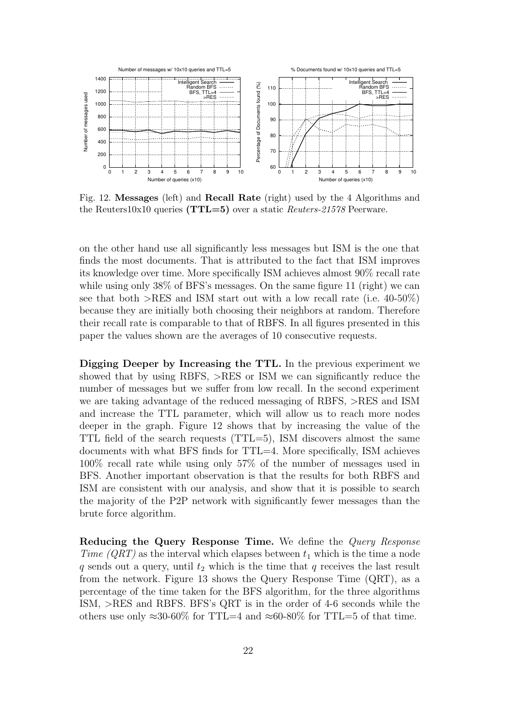

Fig. 12. Messages (left) and Recall Rate (right) used by the 4 Algorithms and the Reuters10x10 queries ( $\text{TTL}=5$ ) over a static *Reuters-21578* Peerware.

on the other hand use all significantly less messages but ISM is the one that finds the most documents. That is attributed to the fact that ISM improves its knowledge over time. More specifically ISM achieves almost 90% recall rate while using only 38% of BFS's messages. On the same figure 11 (right) we can see that both >RES and ISM start out with a low recall rate (i.e. 40-50%) because they are initially both choosing their neighbors at random. Therefore their recall rate is comparable to that of RBFS. In all figures presented in this paper the values shown are the averages of 10 consecutive requests.

Digging Deeper by Increasing the TTL. In the previous experiment we showed that by using RBFS, >RES or ISM we can significantly reduce the number of messages but we suffer from low recall. In the second experiment we are taking advantage of the reduced messaging of RBFS, >RES and ISM and increase the TTL parameter, which will allow us to reach more nodes deeper in the graph. Figure 12 shows that by increasing the value of the TTL field of the search requests (TTL=5), ISM discovers almost the same documents with what BFS finds for TTL=4. More specifically, ISM achieves 100% recall rate while using only 57% of the number of messages used in BFS. Another important observation is that the results for both RBFS and ISM are consistent with our analysis, and show that it is possible to search the majority of the P2P network with significantly fewer messages than the brute force algorithm.

Reducing the Query Response Time. We define the Query Response Time ( $QRT$ ) as the interval which elapses between  $t_1$  which is the time a node  $q$  sends out a query, until  $t_2$  which is the time that  $q$  receives the last result from the network. Figure 13 shows the Query Response Time (QRT), as a percentage of the time taken for the BFS algorithm, for the three algorithms ISM, >RES and RBFS. BFS's QRT is in the order of 4-6 seconds while the others use only  $\approx 30{\text -}60\%$  for TTL=4 and  $\approx 60{\text -}80\%$  for TTL=5 of that time.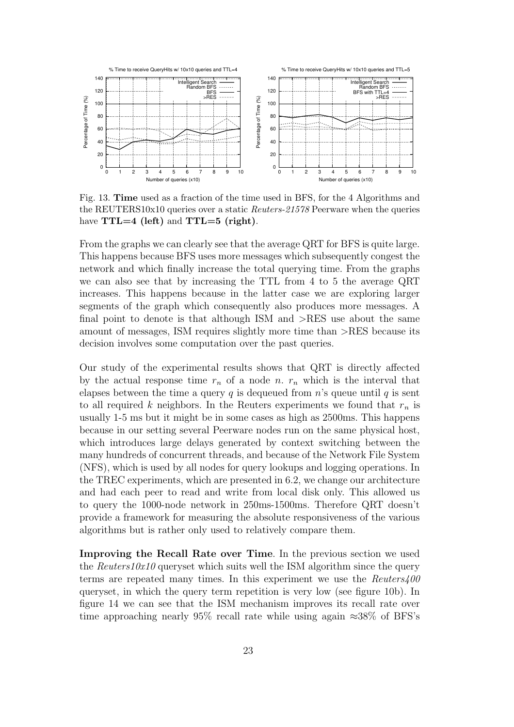

Fig. 13. Time used as a fraction of the time used in BFS, for the 4 Algorithms and the REUTERS10x10 queries over a static Reuters-21578 Peerware when the queries have  $TTL=4$  (left) and  $TTL=5$  (right).

From the graphs we can clearly see that the average QRT for BFS is quite large. This happens because BFS uses more messages which subsequently congest the network and which finally increase the total querying time. From the graphs we can also see that by increasing the TTL from 4 to 5 the average QRT increases. This happens because in the latter case we are exploring larger segments of the graph which consequently also produces more messages. A final point to denote is that although ISM and >RES use about the same amount of messages, ISM requires slightly more time than >RES because its decision involves some computation over the past queries.

Our study of the experimental results shows that QRT is directly affected by the actual response time  $r_n$  of a node n.  $r_n$  which is the interval that elapses between the time a query q is dequeued from  $n$ 's queue until q is sent to all required k neighbors. In the Reuters experiments we found that  $r_n$  is usually 1-5 ms but it might be in some cases as high as 2500ms. This happens because in our setting several Peerware nodes run on the same physical host, which introduces large delays generated by context switching between the many hundreds of concurrent threads, and because of the Network File System (NFS), which is used by all nodes for query lookups and logging operations. In the TREC experiments, which are presented in 6.2, we change our architecture and had each peer to read and write from local disk only. This allowed us to query the 1000-node network in 250ms-1500ms. Therefore QRT doesn't provide a framework for measuring the absolute responsiveness of the various algorithms but is rather only used to relatively compare them.

Improving the Recall Rate over Time. In the previous section we used the  $Reuters10x10$  queryset which suits well the ISM algorithm since the query terms are repeated many times. In this experiment we use the Reuters400 queryset, in which the query term repetition is very low (see figure 10b). In figure 14 we can see that the ISM mechanism improves its recall rate over time approaching nearly 95% recall rate while using again  $\approx 38\%$  of BFS's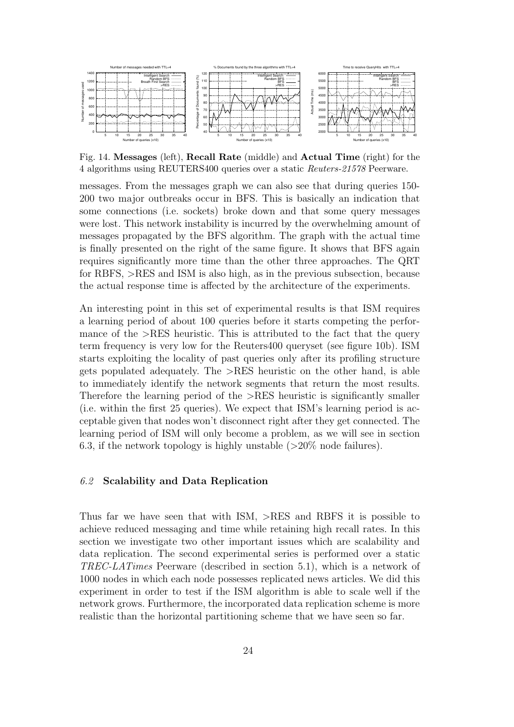

Fig. 14. Messages (left), Recall Rate (middle) and Actual Time (right) for the 4 algorithms using REUTERS400 queries over a static Reuters-21578 Peerware.

messages. From the messages graph we can also see that during queries 150- 200 two major outbreaks occur in BFS. This is basically an indication that some connections (i.e. sockets) broke down and that some query messages were lost. This network instability is incurred by the overwhelming amount of messages propagated by the BFS algorithm. The graph with the actual time is finally presented on the right of the same figure. It shows that BFS again requires significantly more time than the other three approaches. The QRT for RBFS, >RES and ISM is also high, as in the previous subsection, because the actual response time is affected by the architecture of the experiments.

An interesting point in this set of experimental results is that ISM requires a learning period of about 100 queries before it starts competing the performance of the  $>$ RES heuristic. This is attributed to the fact that the query term frequency is very low for the Reuters400 queryset (see figure 10b). ISM starts exploiting the locality of past queries only after its profiling structure gets populated adequately. The >RES heuristic on the other hand, is able to immediately identify the network segments that return the most results. Therefore the learning period of the >RES heuristic is significantly smaller (i.e. within the first 25 queries). We expect that ISM's learning period is acceptable given that nodes won't disconnect right after they get connected. The learning period of ISM will only become a problem, as we will see in section 6.3, if the network topology is highly unstable  $(>20\%$  node failures).

#### 6.2 Scalability and Data Replication

Thus far we have seen that with ISM, >RES and RBFS it is possible to achieve reduced messaging and time while retaining high recall rates. In this section we investigate two other important issues which are scalability and data replication. The second experimental series is performed over a static TREC-LATimes Peerware (described in section 5.1), which is a network of 1000 nodes in which each node possesses replicated news articles. We did this experiment in order to test if the ISM algorithm is able to scale well if the network grows. Furthermore, the incorporated data replication scheme is more realistic than the horizontal partitioning scheme that we have seen so far.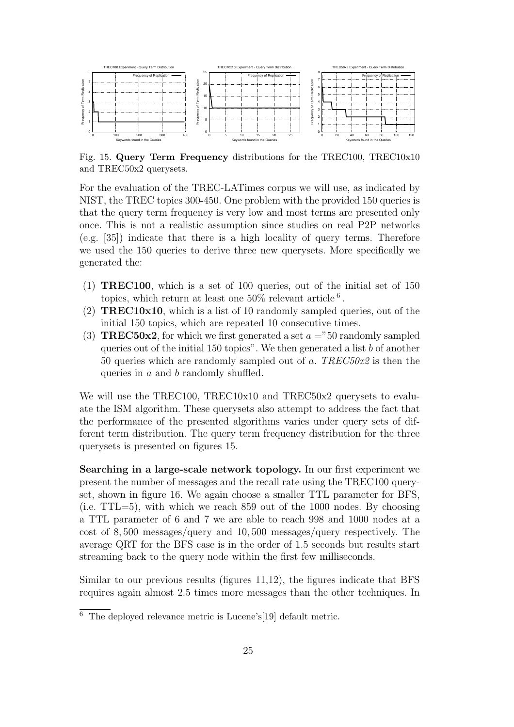

Fig. 15. Query Term Frequency distributions for the TREC100, TREC10x10 and TREC50x2 querysets.

For the evaluation of the TREC-LATimes corpus we will use, as indicated by NIST, the TREC topics 300-450. One problem with the provided 150 queries is that the query term frequency is very low and most terms are presented only once. This is not a realistic assumption since studies on real P2P networks (e.g. [35]) indicate that there is a high locality of query terms. Therefore we used the 150 queries to derive three new querysets. More specifically we generated the:

- (1) TREC100, which is a set of 100 queries, out of the initial set of 150 topics, which return at least one  $50\%$  relevant article<sup>6</sup>.
- (2) **TREC10x10**, which is a list of 10 randomly sampled queries, out of the initial 150 topics, which are repeated 10 consecutive times.
- (3) **TREC50x2**, for which we first generated a set  $a = 50$  randomly sampled queries out of the initial 150 topics". We then generated a list b of another 50 queries which are randomly sampled out of a. TREC50 $x\ddot{x}$  is then the queries in  $a$  and  $b$  randomly shuffled.

We will use the TREC100, TREC10x10 and TREC50x2 querysets to evaluate the ISM algorithm. These querysets also attempt to address the fact that the performance of the presented algorithms varies under query sets of different term distribution. The query term frequency distribution for the three querysets is presented on figures 15.

Searching in a large-scale network topology. In our first experiment we present the number of messages and the recall rate using the TREC100 queryset, shown in figure 16. We again choose a smaller TTL parameter for BFS, (i.e. TTL=5), with which we reach 859 out of the 1000 nodes. By choosing a TTL parameter of 6 and 7 we are able to reach 998 and 1000 nodes at a cost of 8, 500 messages/query and 10, 500 messages/query respectively. The average QRT for the BFS case is in the order of 1.5 seconds but results start streaming back to the query node within the first few milliseconds.

Similar to our previous results (figures 11,12), the figures indicate that BFS requires again almost 2.5 times more messages than the other techniques. In

<sup>6</sup> The deployed relevance metric is Lucene's[19] default metric.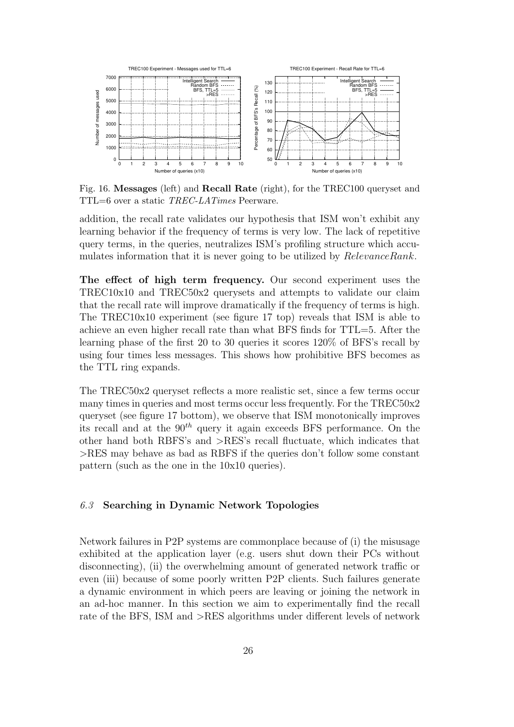

Fig. 16. Messages (left) and Recall Rate (right), for the TREC100 queryset and TTL=6 over a static TREC-LATimes Peerware.

addition, the recall rate validates our hypothesis that ISM won't exhibit any learning behavior if the frequency of terms is very low. The lack of repetitive query terms, in the queries, neutralizes ISM's profiling structure which accumulates information that it is never going to be utilized by *RelevanceRank*.

The effect of high term frequency. Our second experiment uses the TREC10x10 and TREC50x2 querysets and attempts to validate our claim that the recall rate will improve dramatically if the frequency of terms is high. The TREC10x10 experiment (see figure 17 top) reveals that ISM is able to achieve an even higher recall rate than what BFS finds for TTL=5. After the learning phase of the first 20 to 30 queries it scores 120% of BFS's recall by using four times less messages. This shows how prohibitive BFS becomes as the TTL ring expands.

The TREC50x2 queryset reflects a more realistic set, since a few terms occur many times in queries and most terms occur less frequently. For the TREC50x2 queryset (see figure 17 bottom), we observe that ISM monotonically improves its recall and at the  $90<sup>th</sup>$  query it again exceeds BFS performance. On the other hand both RBFS's and >RES's recall fluctuate, which indicates that >RES may behave as bad as RBFS if the queries don't follow some constant pattern (such as the one in the 10x10 queries).

## 6.3 Searching in Dynamic Network Topologies

Network failures in P2P systems are commonplace because of (i) the misusage exhibited at the application layer (e.g. users shut down their PCs without disconnecting), (ii) the overwhelming amount of generated network traffic or even (iii) because of some poorly written P2P clients. Such failures generate a dynamic environment in which peers are leaving or joining the network in an ad-hoc manner. In this section we aim to experimentally find the recall rate of the BFS, ISM and >RES algorithms under different levels of network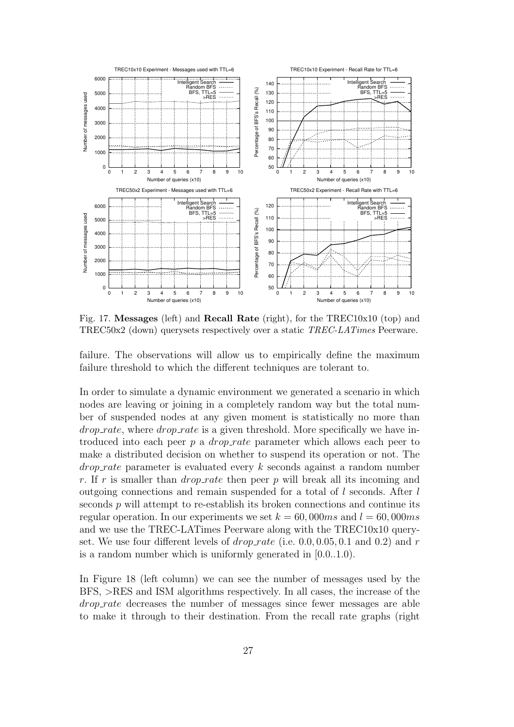

Fig. 17. Messages (left) and **Recall Rate** (right), for the TREC10x10 (top) and TREC50x2 (down) querysets respectively over a static TREC-LATimes Peerware.

failure. The observations will allow us to empirically define the maximum failure threshold to which the different techniques are tolerant to.

In order to simulate a dynamic environment we generated a scenario in which nodes are leaving or joining in a completely random way but the total number of suspended nodes at any given moment is statistically no more than drop rate, where drop rate is a given threshold. More specifically we have introduced into each peer p a *drop\_rate* parameter which allows each peer to make a distributed decision on whether to suspend its operation or not. The  $drop_rate$  parameter is evaluated every k seconds against a random number r. If r is smaller than *drop-rate* then peer p will break all its incoming and outgoing connections and remain suspended for a total of l seconds. After l seconds  $p$  will attempt to re-establish its broken connections and continue its regular operation. In our experiments we set  $k = 60,000ms$  and  $l = 60,000ms$ and we use the TREC-LATimes Peerware along with the TREC10x10 queryset. We use four different levels of *drop\_rate* (i.e.  $0.0, 0.05, 0.1$  and  $0.2$ ) and r is a random number which is uniformly generated in [0.0..1.0).

In Figure 18 (left column) we can see the number of messages used by the BFS, >RES and ISM algorithms respectively. In all cases, the increase of the drop rate decreases the number of messages since fewer messages are able to make it through to their destination. From the recall rate graphs (right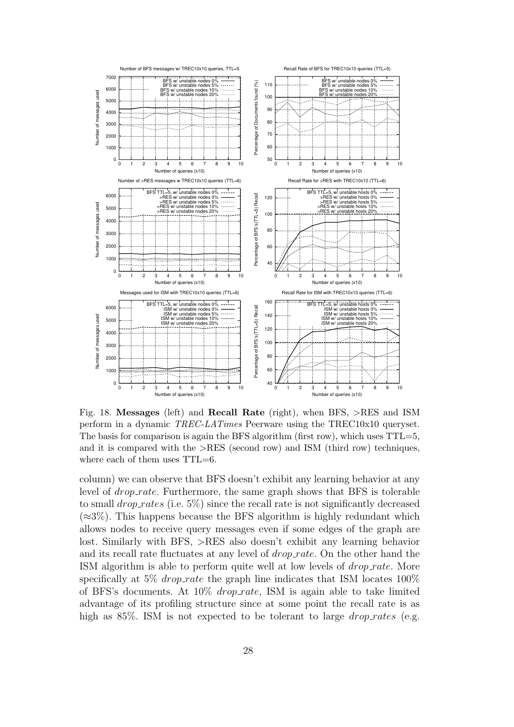

Fig. 18. Messages (left) and Recall Rate (right), when BFS, >RES and ISM perform in a dynamic TREC-LATimes Peerware using the TREC10x10 queryset. The basis for comparison is again the BFS algorithm (first row), which uses  $TTL=5$ , and it is compared with the  $>$ RES (second row) and ISM (third row) techniques, where each of them uses TTL=6.

column) we can observe that BFS doesn't exhibit any learning behavior at any level of *drop\_rate*. Furthermore, the same graph shows that BFS is tolerable to small *drop\_rates* (i.e.  $5\%$ ) since the recall rate is not significantly decreased  $(\approx 3\%)$ . This happens because the BFS algorithm is highly redundant which allows nodes to receive query messages even if some edges of the graph are lost. Similarly with BFS, >RES also doesn't exhibit any learning behavior and its recall rate fluctuates at any level of *drop\_rate*. On the other hand the ISM algorithm is able to perform quite well at low levels of drop rate. More specifically at 5% *drop-rate* the graph line indicates that ISM locates  $100\%$ of BFS's documents. At  $10\%$  *drop\_rate*, ISM is again able to take limited advantage of its profiling structure since at some point the recall rate is as high as  $85\%$ . ISM is not expected to be tolerant to large *drop\_rates* (e.g.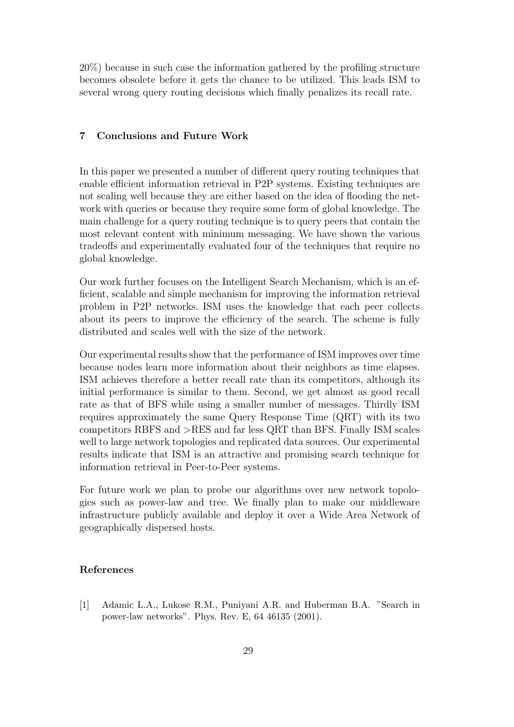20%) because in such case the information gathered by the profiling structure becomes obsolete before it gets the chance to be utilized. This leads ISM to several wrong query routing decisions which finally penalizes its recall rate.

## 7 Conclusions and Future Work

In this paper we presented a number of different query routing techniques that enable efficient information retrieval in P2P systems. Existing techniques are not scaling well because they are either based on the idea of flooding the network with queries or because they require some form of global knowledge. The main challenge for a query routing technique is to query peers that contain the most relevant content with minimum messaging. We have shown the various tradeoffs and experimentally evaluated four of the techniques that require no global knowledge.

Our work further focuses on the Intelligent Search Mechanism, which is an efficient, scalable and simple mechanism for improving the information retrieval problem in P2P networks. ISM uses the knowledge that each peer collects about its peers to improve the efficiency of the search. The scheme is fully distributed and scales well with the size of the network.

Our experimental results show that the performance of ISM improves over time because nodes learn more information about their neighbors as time elapses. ISM achieves therefore a better recall rate than its competitors, although its initial performance is similar to them. Second, we get almost as good recall rate as that of BFS while using a smaller number of messages. Thirdly ISM requires approximately the same Query Response Time (QRT) with its two competitors RBFS and >RES and far less QRT than BFS. Finally ISM scales well to large network topologies and replicated data sources. Our experimental results indicate that ISM is an attractive and promising search technique for information retrieval in Peer-to-Peer systems.

For future work we plan to probe our algorithms over new network topologies such as power-law and tree. We finally plan to make our middleware infrastructure publicly available and deploy it over a Wide Area Network of geographically dispersed hosts.

#### References

[1] Adamic L.A., Lukose R.M., Puniyani A.R. and Huberman B.A. "Search in power-law networks". Phys. Rev. E, 64 46135 (2001).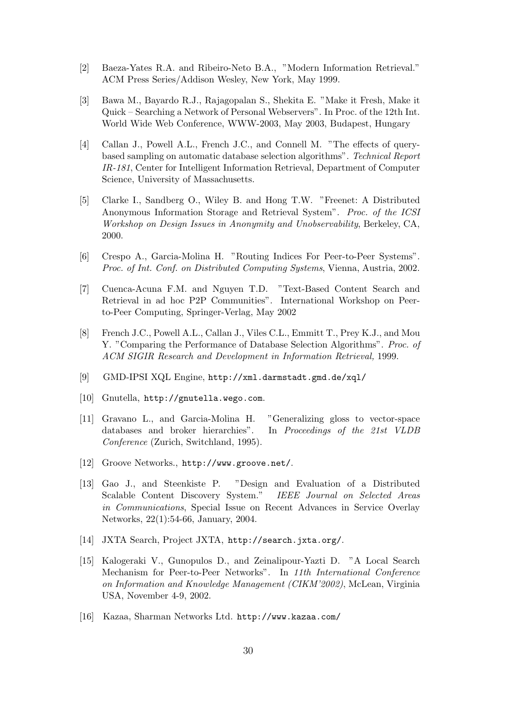- [2] Baeza-Yates R.A. and Ribeiro-Neto B.A., "Modern Information Retrieval." ACM Press Series/Addison Wesley, New York, May 1999.
- [3] Bawa M., Bayardo R.J., Rajagopalan S., Shekita E. "Make it Fresh, Make it Quick – Searching a Network of Personal Webservers". In Proc. of the 12th Int. World Wide Web Conference, WWW-2003, May 2003, Budapest, Hungary
- [4] Callan J., Powell A.L., French J.C., and Connell M. "The effects of querybased sampling on automatic database selection algorithms". Technical Report IR-181, Center for Intelligent Information Retrieval, Department of Computer Science, University of Massachusetts.
- [5] Clarke I., Sandberg O., Wiley B. and Hong T.W. "Freenet: A Distributed Anonymous Information Storage and Retrieval System". Proc. of the ICSI Workshop on Design Issues in Anonymity and Unobservability, Berkeley, CA, 2000.
- [6] Crespo A., Garcia-Molina H. "Routing Indices For Peer-to-Peer Systems". Proc. of Int. Conf. on Distributed Computing Systems, Vienna, Austria, 2002.
- [7] Cuenca-Acuna F.M. and Nguyen T.D. "Text-Based Content Search and Retrieval in ad hoc P2P Communities". International Workshop on Peerto-Peer Computing, Springer-Verlag, May 2002
- [8] French J.C., Powell A.L., Callan J., Viles C.L., Emmitt T., Prey K.J., and Mou Y. "Comparing the Performance of Database Selection Algorithms". Proc. of ACM SIGIR Research and Development in Information Retrieval, 1999.
- [9] GMD-IPSI XQL Engine, http://xml.darmstadt.gmd.de/xql/
- [10] Gnutella, http://gnutella.wego.com.
- [11] Gravano L., and Garcia-Molina H. "Generalizing gloss to vector-space databases and broker hierarchies". In Proceedings of the 21st VLDB Conference (Zurich, Switchland, 1995).
- [12] Groove Networks., http://www.groove.net/.
- [13] Gao J., and Steenkiste P. "Design and Evaluation of a Distributed Scalable Content Discovery System." IEEE Journal on Selected Areas in Communications, Special Issue on Recent Advances in Service Overlay Networks, 22(1):54-66, January, 2004.
- [14] JXTA Search, Project JXTA, http://search.jxta.org/.
- [15] Kalogeraki V., Gunopulos D., and Zeinalipour-Yazti D. "A Local Search Mechanism for Peer-to-Peer Networks". In 11th International Conference on Information and Knowledge Management (CIKM'2002), McLean, Virginia USA, November 4-9, 2002.
- [16] Kazaa, Sharman Networks Ltd. http://www.kazaa.com/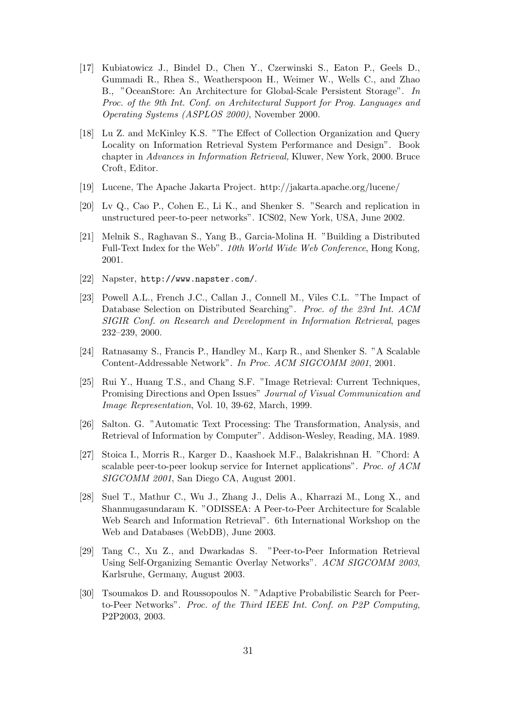- [17] Kubiatowicz J., Bindel D., Chen Y., Czerwinski S., Eaton P., Geels D., Gummadi R., Rhea S., Weatherspoon H., Weimer W., Wells C., and Zhao B., "OceanStore: An Architecture for Global-Scale Persistent Storage". In Proc. of the 9th Int. Conf. on Architectural Support for Prog. Languages and Operating Systems (ASPLOS 2000), November 2000.
- [18] Lu Z. and McKinley K.S. "The Effect of Collection Organization and Query Locality on Information Retrieval System Performance and Design". Book chapter in Advances in Information Retrieval, Kluwer, New York, 2000. Bruce Croft, Editor.
- [19] Lucene, The Apache Jakarta Project. http://jakarta.apache.org/lucene/
- [20] Lv Q., Cao P., Cohen E., Li K., and Shenker S. "Search and replication in unstructured peer-to-peer networks". ICS02, New York, USA, June 2002.
- [21] Melnik S., Raghavan S., Yang B., Garcia-Molina H. "Building a Distributed Full-Text Index for the Web". 10th World Wide Web Conference, Hong Kong, 2001.
- [22] Napster, http://www.napster.com/.
- [23] Powell A.L., French J.C., Callan J., Connell M., Viles C.L. "The Impact of Database Selection on Distributed Searching". Proc. of the 23rd Int. ACM SIGIR Conf. on Research and Development in Information Retrieval, pages 232–239, 2000.
- [24] Ratnasamy S., Francis P., Handley M., Karp R., and Shenker S. "A Scalable Content-Addressable Network". In Proc. ACM SIGCOMM 2001, 2001.
- [25] Rui Y., Huang T.S., and Chang S.F. "Image Retrieval: Current Techniques, Promising Directions and Open Issues" Journal of Visual Communication and Image Representation, Vol. 10, 39-62, March, 1999.
- [26] Salton. G. "Automatic Text Processing: The Transformation, Analysis, and Retrieval of Information by Computer". Addison-Wesley, Reading, MA. 1989.
- [27] Stoica I., Morris R., Karger D., Kaashoek M.F., Balakrishnan H. "Chord: A scalable peer-to-peer lookup service for Internet applications". Proc. of ACM SIGCOMM 2001, San Diego CA, August 2001.
- [28] Suel T., Mathur C., Wu J., Zhang J., Delis A., Kharrazi M., Long X., and Shanmugasundaram K. "ODISSEA: A Peer-to-Peer Architecture for Scalable Web Search and Information Retrieval". 6th International Workshop on the Web and Databases (WebDB), June 2003.
- [29] Tang C., Xu Z., and Dwarkadas S. "Peer-to-Peer Information Retrieval Using Self-Organizing Semantic Overlay Networks". ACM SIGCOMM 2003, Karlsruhe, Germany, August 2003.
- [30] Tsoumakos D. and Roussopoulos N. "Adaptive Probabilistic Search for Peerto-Peer Networks". Proc. of the Third IEEE Int. Conf. on P2P Computing, P2P2003, 2003.